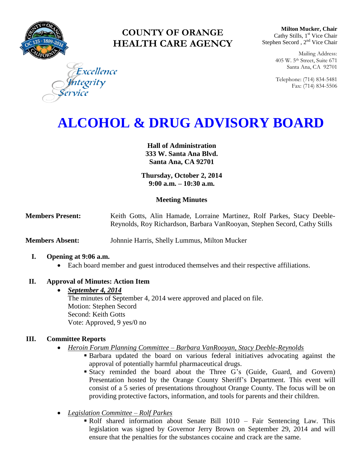

# **COUNTY OF ORANGE HEALTH CARE AGENCY**

**Milton Mucker, Chair** Cathy Stills, 1<sup>st</sup> Vice Chair Stephen Secord, 2<sup>nd</sup> Vice Chair

> Mailing Address: 405 W. 5th Street, Suite 671 Santa Ana, CA 92701

> Telephone: (714) 834-5481 Fax: (714) 834-5506

Excellence tegrity

# **ALCOHOL & DRUG ADVISORY BOARD**

**Hall of Administration 333 W. Santa Ana Blvd. Santa Ana, CA 92701**

**Thursday, October 2, 2014 9:00 a.m. – 10:30 a.m.** 

# **Meeting Minutes**

**Members Present:** Keith Gotts, Alin Hamade, Lorraine Martinez, Rolf Parkes, Stacy Deeble-Reynolds, Roy Richardson, Barbara VanRooyan, Stephen Secord, Cathy Stills

**Members Absent:** Johnnie Harris, Shelly Lummus, Milton Mucker

#### **I. Opening at 9:06 a.m.**

Each board member and guest introduced themselves and their respective affiliations.

# **II. Approval of Minutes: Action Item**

#### *September 4, 2014*

The minutes of September 4, 2014 were approved and placed on file. Motion: Stephen Secord Second: Keith Gotts Vote: Approved, 9 yes/0 no

#### **III. Committee Reports**

- *Heroin Forum Planning Committee – Barbara VanRooyan, Stacy Deeble-Reynolds*
	- Barbara updated the board on various federal initiatives advocating against the approval of potentially harmful pharmaceutical drugs.
		- Stacy reminded the board about the Three G's (Guide, Guard, and Govern) Presentation hosted by the Orange County Sheriff's Department. This event will consist of a 5 series of presentations throughout Orange County. The focus will be on providing protective factors, information, and tools for parents and their children.
- *Legislation Committee – Rolf Parkes*
	- Rolf shared information about Senate Bill 1010 Fair Sentencing Law. This legislation was signed by Governor Jerry Brown on September 29, 2014 and will ensure that the penalties for the substances cocaine and crack are the same.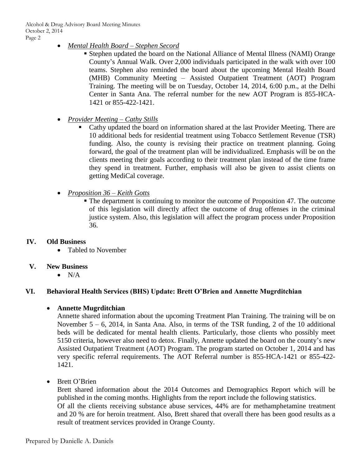Alcohol & Drug Advisory Board Meeting Minutes October 2, 2014 Page 2

- *Mental Health Board – Stephen Secord*
	- Stephen updated the board on the National Alliance of Mental Illness (NAMI) Orange County's Annual Walk. Over 2,000 individuals participated in the walk with over 100 teams. Stephen also reminded the board about the upcoming Mental Health Board (MHB) Community Meeting – Assisted Outpatient Treatment (AOT) Program Training. The meeting will be on Tuesday, October 14, 2014, 6:00 p.m., at the Delhi Center in Santa Ana. The referral number for the new AOT Program is 855-HCA-1421 or 855-422-1421.
- *Provider Meeting – Cathy Stills* 
	- Cathy updated the board on information shared at the last Provider Meeting. There are 10 additional beds for residential treatment using Tobacco Settlement Revenue (TSR) funding. Also, the county is revising their practice on treatment planning. Going forward, the goal of the treatment plan will be individualized. Emphasis will be on the clients meeting their goals according to their treatment plan instead of the time frame they spend in treatment. Further, emphasis will also be given to assist clients on getting MediCal coverage.
- *Proposition 36 – Keith Gotts*
	- The department is continuing to monitor the outcome of Proposition 47. The outcome of this legislation will directly affect the outcome of drug offenses in the criminal justice system. Also, this legislation will affect the program process under Proposition 36.

#### **IV. Old Business**

- Tabled to November
- **V. New Business**
	- $\bullet$  N/A

# **VI. Behavioral Health Services (BHS) Update: Brett O'Brien and Annette Mugrditchian**

#### **Annette Mugrditchian**

Annette shared information about the upcoming Treatment Plan Training. The training will be on November 5 – 6, 2014, in Santa Ana. Also, in terms of the TSR funding, 2 of the 10 additional beds will be dedicated for mental health clients. Particularly, those clients who possibly meet 5150 criteria, however also need to detox. Finally, Annette updated the board on the county's new Assisted Outpatient Treatment (AOT) Program. The program started on October 1, 2014 and has very specific referral requirements. The AOT Referral number is 855-HCA-1421 or 855-422- 1421.

• Brett O'Brien

Brett shared information about the 2014 Outcomes and Demographics Report which will be published in the coming months. Highlights from the report include the following statistics. Of all the clients receiving substance abuse services, 44% are for methamphetamine treatment and 20 % are for heroin treatment. Also, Brett shared that overall there has been good results as a result of treatment services provided in Orange County.